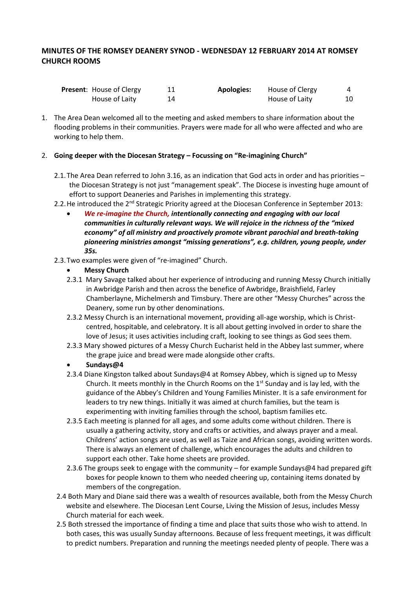# **MINUTES OF THE ROMSEY DEANERY SYNOD - WEDNESDAY 12 FEBRUARY 2014 AT ROMSEY CHURCH ROOMS**

| <b>Present:</b> House of Clergy |    | Apologies: | House of Clergy |    |
|---------------------------------|----|------------|-----------------|----|
| House of Laity                  | 14 |            | House of Laity  | 10 |

1. The Area Dean welcomed all to the meeting and asked members to share information about the flooding problems in their communities. Prayers were made for all who were affected and who are working to help them.

### 2. **Going deeper with the Diocesan Strategy – Focussing on "Re-imagining Church"**

- 2.1.The Area Dean referred to John 3.16, as an indication that God acts in order and has priorities the Diocesan Strategy is not just "management speak". The Diocese is investing huge amount of effort to support Deaneries and Parishes in implementing this strategy.
- 2.2. He introduced the 2<sup>nd</sup> Strategic Priority agreed at the Diocesan Conference in September 2013:
	- *We re-imagine the Church, intentionally connecting and engaging with our local communities in culturally relevant ways. We will rejoice in the richness of the "mixed economy" of all ministry and proactively promote vibrant parochial and breath-taking pioneering ministries amongst "missing generations", e.g. children, young people, under 35s.*
- 2.3.Two examples were given of "re-imagined" Church.
	- **Messy Church**
	- 2.3.1 Mary Savage talked about her experience of introducing and running Messy Church initially in Awbridge Parish and then across the benefice of Awbridge, Braishfield, Farley Chamberlayne, Michelmersh and Timsbury. There are other "Messy Churches" across the Deanery, some run by other denominations.
	- 2.3.2 Messy Church is an international movement, providing all-age worship, which is Christcentred, hospitable, and celebratory. It is all about getting involved in order to share the love of Jesus; it uses activities including craft, looking to see things as God sees them.
	- 2.3.3 Mary showed pictures of a Messy Church Eucharist held in the Abbey last summer, where the grape juice and bread were made alongside other crafts.
	- **Sundays@4**
	- 2.3.4 Diane Kingston talked about Sundays@4 at Romsey Abbey, which is signed up to Messy Church. It meets monthly in the Church Rooms on the  $1<sup>st</sup>$  Sunday and is lay led, with the guidance of the Abbey's Children and Young Families Minister. It is a safe environment for leaders to try new things. Initially it was aimed at church families, but the team is experimenting with inviting families through the school, baptism families etc.
	- 2.3.5 Each meeting is planned for all ages, and some adults come without children. There is usually a gathering activity, story and crafts or activities, and always prayer and a meal. Childrens' action songs are used, as well as Taize and African songs, avoiding written words. There is always an element of challenge, which encourages the adults and children to support each other. Take home sheets are provided.
	- 2.3.6 The groups seek to engage with the community for example Sundays@4 had prepared gift boxes for people known to them who needed cheering up, containing items donated by members of the congregation.
- 2.4 Both Mary and Diane said there was a wealth of resources available, both from the Messy Church website and elsewhere. The Diocesan Lent Course, Living the Mission of Jesus, includes Messy Church material for each week.
- 2.5 Both stressed the importance of finding a time and place that suits those who wish to attend. In both cases, this was usually Sunday afternoons. Because of less frequent meetings, it was difficult to predict numbers. Preparation and running the meetings needed plenty of people. There was a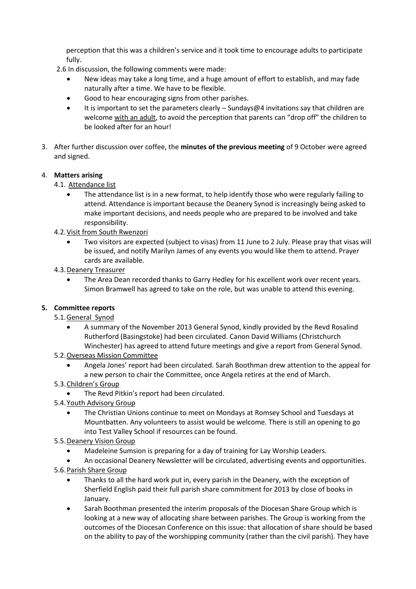perception that this was a children's service and it took time to encourage adults to participate fully.

- 2.6 In discussion, the following comments were made:
	- New ideas may take a long time, and a huge amount of effort to establish, and may fade naturally after a time. We have to be flexible.
	- Good to hear encouraging signs from other parishes.
	- It is important to set the parameters clearly Sundays@4 invitations say that children are welcome with an adult, to avoid the perception that parents can "drop off" the children to be looked after for an hour!
- 3. After further discussion over coffee, the **minutes of the previous meeting** of 9 October were agreed and signed.

### 4. **Matters arising**

- 4.1. Attendance list
	- The attendance list is in a new format, to help identify those who were regularly failing to attend. Attendance is important because the Deanery Synod is increasingly being asked to make important decisions, and needs people who are prepared to be involved and take responsibility.
- 4.2.Visit from South Rwenzori
	- Two visitors are expected (subject to visas) from 11 June to 2 July. Please pray that visas will be issued, and notify Marilyn James of any events you would like them to attend. Prayer cards are available.
- 4.3.Deanery Treasurer
	- The Area Dean recorded thanks to Garry Hedley for his excellent work over recent years. Simon Bramwell has agreed to take on the role, but was unable to attend this evening.

### **5. Committee reports**

- 5.1.General Synod
	- A summary of the November 2013 General Synod, kindly provided by the Revd Rosalind Rutherford (Basingstoke) had been circulated. Canon David Williams (Christchurch Winchester) has agreed to attend future meetings and give a report from General Synod.
- 5.2.Overseas Mission Committee
	- Angela Jones' report had been circulated. Sarah Boothman drew attention to the appeal for a new person to chair the Committee, once Angela retires at the end of March.
- 5.3.Children's Group
	- The Revd Pitkin's report had been circulated.
- 5.4.Youth Advisory Group
	- The Christian Unions continue to meet on Mondays at Romsey School and Tuesdays at Mountbatten. Any volunteers to assist would be welcome. There is still an opening to go into Test Valley School if resources can be found.
- 5.5.Deanery Vision Group
	- Madeleine Sumsion is preparing for a day of training for Lay Worship Leaders.
	- An occasional Deanery Newsletter will be circulated, advertising events and opportunities.
- 5.6.Parish Share Group
	- Thanks to all the hard work put in, every parish in the Deanery, with the exception of Sherfield English paid their full parish share commitment for 2013 by close of books in January.
	- Sarah Boothman presented the interim proposals of the Diocesan Share Group which is looking at a new way of allocating share between parishes. The Group is working from the outcomes of the Diocesan Conference on this issue: that allocation of share should be based on the ability to pay of the worshipping community (rather than the civil parish). They have